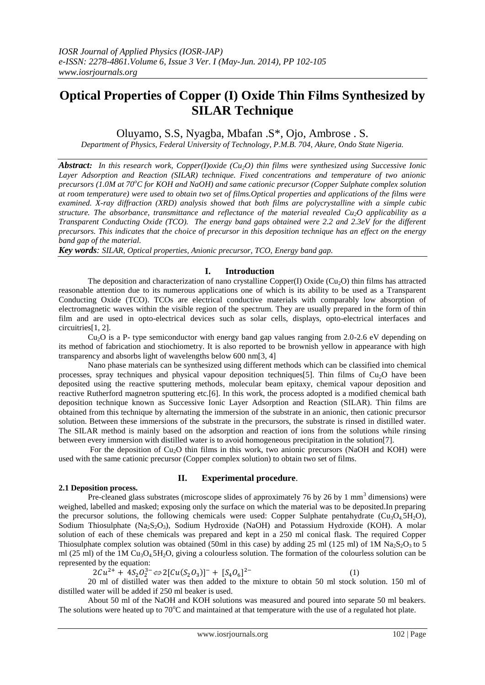# **Optical Properties of Copper (I) Oxide Thin Films Synthesized by SILAR Technique**

Oluyamo, S.S, Nyagba, Mbafan .S\*, Ojo, Ambrose . S.

*Department of Physics, Federal University of Technology, P.M.B. 704, Akure, Ondo State Nigeria.*

*Abstract: In this research work, Copper(I)oxide (Cu2O) thin films were synthesized using Successive Ionic Layer Adsorption and Reaction (SILAR) technique. Fixed concentrations and temperature of two anionic precursors (1.0M at 70<sup>o</sup>C for KOH and NaOH) and same cationic precursor (Copper Sulphate complex solution at room temperature) were used to obtain two set of films.Optical properties and applications of the films were examined. X-ray diffraction (XRD) analysis showed that both films are polycrystalline with a simple cubic structure. The absorbance, transmittance and reflectance of the material revealed Cu2O applicability as a Transparent Conducting Oxide (TCO). The energy band gaps obtained were 2.2 and 2.3eV for the different precursors. This indicates that the choice of precursor in this deposition technique has an effect on the energy band gap of the material.*

*Key words: SILAR, Optical properties, Anionic precursor, TCO, Energy band gap.*

## **I. Introduction**

The deposition and characterization of nano crystalline Copper(I) Oxide (Cu<sub>2</sub>O) thin films has attracted reasonable attention due to its numerous applications one of which is its ability to be used as a Transparent Conducting Oxide (TCO). TCOs are electrical conductive materials with comparably low absorption of electromagnetic waves within the visible region of the spectrum. They are usually prepared in the form of thin film and are used in opto-electrical devices such as solar cells, displays, opto-electrical interfaces and circuitries[1, 2].

 $Cu<sub>2</sub>O$  is a P- type semiconductor with energy band gap values ranging from 2.0-2.6 eV depending on its method of fabrication and stiochiometry. It is also reported to be brownish yellow in appearance with high transparency and absorbs light of wavelengths below 600 nm[3, 4]

Nano phase materials can be synthesized using different methods which can be classified into chemical processes, spray techniques and physical vapour deposition techniques[5]. Thin films of  $Cu<sub>2</sub>O$  have been deposited using the reactive sputtering methods, molecular beam epitaxy, chemical vapour deposition and reactive Rutherford magnetron sputtering etc.[6]. In this work, the process adopted is a modified chemical bath deposition technique known as Successive Ionic Layer Adsorption and Reaction (SILAR). Thin films are obtained from this technique by alternating the immersion of the substrate in an anionic, then cationic precursor solution. Between these immersions of the substrate in the precursors, the substrate is rinsed in distilled water. The SILAR method is mainly based on the adsorption and reaction of ions from the solutions while rinsing between every immersion with distilled water is to avoid homogeneous precipitation in the solution[7].

For the deposition of  $Cu<sub>2</sub>O$  thin films in this work, two anionic precursors (NaOH and KOH) were used with the same cationic precursor (Copper complex solution) to obtain two set of films.

## **2.1 Deposition process.**

## **II. Experimental procedure**.

Pre-cleaned glass substrates (microscope slides of approximately 76 by 26 by 1 mm<sup>3</sup> dimensions) were weighed, labelled and masked; exposing only the surface on which the material was to be deposited.In preparing the precursor solutions, the following chemicals were used: Copper Sulphate pentahydrate ( $Cu_3O_45H_2O$ ), Sodium Thiosulphate  $(Na_2S_2O_3)$ , Sodium Hydroxide (NaOH) and Potassium Hydroxide (KOH). A molar solution of each of these chemicals was prepared and kept in a 250 ml conical flask. The required Copper Thiosulphate complex solution was obtained (50ml in this case) by adding 25 ml (125 ml) of 1M Na<sub>2</sub>S<sub>2</sub>O<sub>3</sub> to 5 ml (25 ml) of the 1M  $Cu<sub>3</sub>O<sub>4</sub>$ ,  $SH<sub>2</sub>O$ , giving a colourless solution. The formation of the colourless solution can be represented by the equation:

 $^{2+}$  + 4S<sub>2</sub>O<sub>2</sub><sup>3</sup>  $\Leftrightarrow$  2[Cu(S<sub>2</sub>O<sub>3</sub>)]<sup>-</sup> + [S<sub>4</sub>O<sub>6</sub>]  $2-$  (1)

20 ml of distilled water was then added to the mixture to obtain 50 ml stock solution. 150 ml of distilled water will be added if 250 ml beaker is used.

About 50 ml of the NaOH and KOH solutions was measured and poured into separate 50 ml beakers. The solutions were heated up to  $70^{\circ}$ C and maintained at that temperature with the use of a regulated hot plate.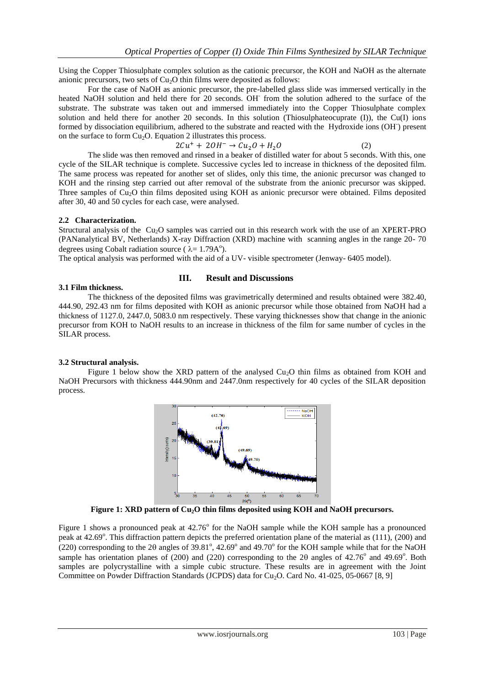Using the Copper Thiosulphate complex solution as the cationic precursor, the KOH and NaOH as the alternate anionic precursors, two sets of  $Cu<sub>2</sub>O$  thin films were deposited as follows:

For the case of NaOH as anionic precursor, the pre-labelled glass slide was immersed vertically in the heated NaOH solution and held there for 20 seconds. OH from the solution adhered to the surface of the substrate. The substrate was taken out and immersed immediately into the Copper Thiosulphate complex solution and held there for another 20 seconds. In this solution (Thiosulphateocuprate (I)), the Cu(I) ions formed by dissociation equilibrium, adhered to the substrate and reacted with the Hydroxide ions (OH) present on the surface to form  $Cu<sub>2</sub>O$ . Equation 2 illustrates this process.

$$
2Cu^{+} + 2OH^{-} \rightarrow Cu_{2}O + H_{2}O
$$
 (2)

The slide was then removed and rinsed in a beaker of distilled water for about 5 seconds. With this, one cycle of the SILAR technique is complete. Successive cycles led to increase in thickness of the deposited film. The same process was repeated for another set of slides, only this time, the anionic precursor was changed to KOH and the rinsing step carried out after removal of the substrate from the anionic precursor was skipped. Three samples of  $Cu<sub>2</sub>O$  thin films deposited using KOH as anionic precursor were obtained. Films deposited after 30, 40 and 50 cycles for each case, were analysed.

### **2.2 Characterization.**

Structural analysis of the  $Cu<sub>2</sub>O$  samples was carried out in this research work with the use of an XPERT-PRO (PANanalytical BV, Netherlands) X-ray Diffraction (XRD) machine with scanning angles in the range 20- 70 degrees using Cobalt radiation source ( $\lambda = 1.79A^{\circ}$ ).

The optical analysis was performed with the aid of a UV- visible spectrometer (Jenway- 6405 model).

### **III. Result and Discussions**

### **3.1 Film thickness.**

The thickness of the deposited films was gravimetrically determined and results obtained were 382.40, 444.90, 292.43 nm for films deposited with KOH as anionic precursor while those obtained from NaOH had a thickness of 1127.0, 2447.0, 5083.0 nm respectively. These varying thicknesses show that change in the anionic precursor from KOH to NaOH results to an increase in thickness of the film for same number of cycles in the SILAR process.

## **3.2 Structural analysis.**

Figure 1 below show the XRD pattern of the analysed Cu<sub>2</sub>O thin films as obtained from KOH and NaOH Precursors with thickness 444.90nm and 2447.0nm respectively for 40 cycles of the SILAR deposition process.



**Figure 1: XRD pattern of Cu2O thin films deposited using KOH and NaOH precursors.**

Figure 1 shows a pronounced peak at 42.76° for the NaOH sample while the KOH sample has a pronounced peak at 42.69°. This diffraction pattern depicts the preferred orientation plane of the material as (111), (200) and (220) corresponding to the 20 angles of  $39.81^{\circ}$ , 42.69° and 49.70° for the KOH sample while that for the NaOH sample has orientation planes of (200) and (220) corresponding to the 20 angles of  $42.76^{\circ}$  and  $49.69^{\circ}$ . Both samples are polycrystalline with a simple cubic structure. These results are in agreement with the Joint Committee on Powder Diffraction Standards (JCPDS) data for Cu<sub>2</sub>O. Card No. 41-025, 05-0667 [8, 9]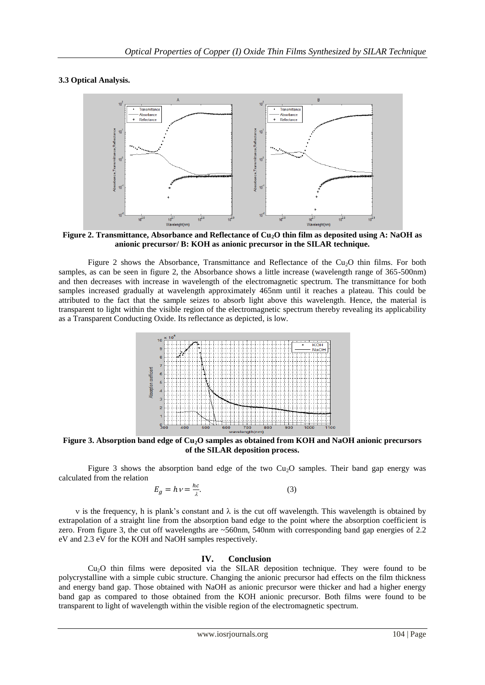## **3.3 Optical Analysis.**



**Figure 2. Transmittance, Absorbance and Reflectance of Cu2O thin film as deposited using A: NaOH as anionic precursor/ B: KOH as anionic precursor in the SILAR technique.**

Figure 2 shows the Absorbance, Transmittance and Reflectance of the  $Cu<sub>2</sub>O$  thin films. For both samples, as can be seen in figure 2, the Absorbance shows a little increase (wavelength range of 365-500nm) and then decreases with increase in wavelength of the electromagnetic spectrum. The transmittance for both samples increased gradually at wavelength approximately 465nm until it reaches a plateau. This could be attributed to the fact that the sample seizes to absorb light above this wavelength. Hence, the material is transparent to light within the visible region of the electromagnetic spectrum thereby revealing its applicability as a Transparent Conducting Oxide. Its reflectance as depicted, is low.



**Figure 3. Absorption band edge of Cu2O samples as obtained from KOH and NaOH anionic precursors of the SILAR deposition process.**

Figure 3 shows the absorption band edge of the two  $Cu<sub>2</sub>O$  samples. Their band gap energy was calculated from the relation

$$
E_g = h \, \nu = \frac{hc}{\lambda}.\tag{3}
$$

v is the frequency, h is plank's constant and  $\lambda$  is the cut off wavelength. This wavelength is obtained by extrapolation of a straight line from the absorption band edge to the point where the absorption coefficient is zero. From figure 3, the cut off wavelengths are ~560nm, 540nm with corresponding band gap energies of 2.2 eV and 2.3 eV for the KOH and NaOH samples respectively.

#### **IV. Conclusion**

Cu2O thin films were deposited via the SILAR deposition technique. They were found to be polycrystalline with a simple cubic structure. Changing the anionic precursor had effects on the film thickness and energy band gap. Those obtained with NaOH as anionic precursor were thicker and had a higher energy band gap as compared to those obtained from the KOH anionic precursor. Both films were found to be transparent to light of wavelength within the visible region of the electromagnetic spectrum.